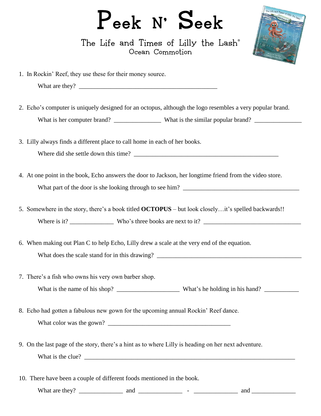## Peek N' Seek

The Life and Times of Lilly the Lash® Ocean Commotion

1. In Rockin' Reef, they use these for their money source.

- 2. Echo's computer is uniquely designed for an octopus, although the logo resembles a very popular brand. What is her computer brand? What is the similar popular brand?
- 3. Lilly always finds a different place to call home in each of her books. Where did she settle down this time?
- 4. At one point in the book, Echo answers the door to Jackson, her longtime friend from the video store. What part of the door is she looking through to see him? \_\_\_\_\_\_\_\_\_\_\_\_\_\_\_\_\_\_\_\_\_\_\_\_\_\_\_\_\_\_\_\_\_\_\_\_\_
- 5. Somewhere in the story, there's a book titled **OCTOPUS** but look closely…it's spelled backwards!! Where is it?  $Who's$  three books are next to it?
- 6. When making out Plan C to help Echo, Lilly drew a scale at the very end of the equation. What does the scale stand for in this drawing?
- 7. There's a fish who owns his very own barber shop. What is the name of his shop? \_\_\_\_\_\_\_\_\_\_\_\_\_\_\_\_\_\_\_\_ What's he holding in his hand? \_\_\_\_\_\_\_\_\_\_\_
- 8. Echo had gotten a fabulous new gown for the upcoming annual Rockin' Reef dance. What color was the gown? \_\_\_\_\_\_\_\_\_\_\_\_\_\_\_\_\_\_\_\_\_\_\_\_\_\_\_\_\_\_\_\_\_\_\_\_\_\_\_
- 9. On the last page of the story, there's a hint as to where Lilly is heading on her next adventure. What is the clue? \_\_\_\_\_\_\_\_\_\_\_\_\_\_\_\_\_\_\_\_\_\_\_\_\_\_\_\_\_\_\_\_\_\_\_\_\_\_\_\_\_\_\_\_\_\_\_\_\_\_\_\_\_\_\_\_\_\_\_\_\_\_\_\_\_\_\_
- 10. There have been a couple of different foods mentioned in the book.

What are they? \_\_\_\_\_\_\_\_\_\_\_\_\_\_ and \_\_\_\_\_\_\_\_\_\_\_\_\_\_ - \_\_\_\_\_\_\_\_\_\_\_\_\_\_ and \_\_\_\_\_\_\_\_\_\_\_\_\_\_